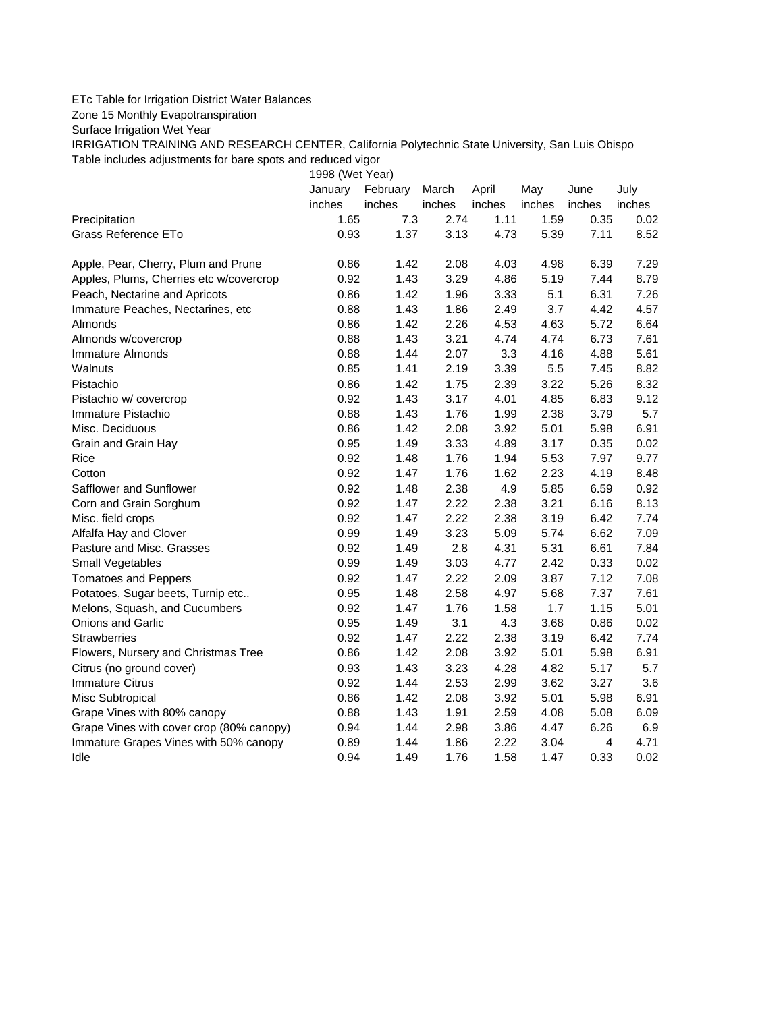## ETc Table for Irrigation District Water Balances

Zone 15 Monthly Evapotranspiration

Surface Irrigation Wet Year

IRRIGATION TRAINING AND RESEARCH CENTER, California Polytechnic State University, San Luis Obispo Table includes adjustments for bare spots and reduced vigor

1998 (Wet Year)

|                                          | January | February | March  | April  | May    | June   | July   |
|------------------------------------------|---------|----------|--------|--------|--------|--------|--------|
|                                          | inches  | inches   | inches | inches | inches | inches | inches |
| Precipitation                            | 1.65    | 7.3      | 2.74   | 1.11   | 1.59   | 0.35   | 0.02   |
| Grass Reference ETo                      | 0.93    | 1.37     | 3.13   | 4.73   | 5.39   | 7.11   | 8.52   |
| Apple, Pear, Cherry, Plum and Prune      | 0.86    | 1.42     | 2.08   | 4.03   | 4.98   | 6.39   | 7.29   |
| Apples, Plums, Cherries etc w/covercrop  | 0.92    | 1.43     | 3.29   | 4.86   | 5.19   | 7.44   | 8.79   |
| Peach, Nectarine and Apricots            | 0.86    | 1.42     | 1.96   | 3.33   | 5.1    | 6.31   | 7.26   |
| Immature Peaches, Nectarines, etc.       | 0.88    | 1.43     | 1.86   | 2.49   | 3.7    | 4.42   | 4.57   |
| Almonds                                  | 0.86    | 1.42     | 2.26   | 4.53   | 4.63   | 5.72   | 6.64   |
| Almonds w/covercrop                      | 0.88    | 1.43     | 3.21   | 4.74   | 4.74   | 6.73   | 7.61   |
| Immature Almonds                         | 0.88    | 1.44     | 2.07   | 3.3    | 4.16   | 4.88   | 5.61   |
| Walnuts                                  | 0.85    | 1.41     | 2.19   | 3.39   | 5.5    | 7.45   | 8.82   |
| Pistachio                                | 0.86    | 1.42     | 1.75   | 2.39   | 3.22   | 5.26   | 8.32   |
| Pistachio w/ covercrop                   | 0.92    | 1.43     | 3.17   | 4.01   | 4.85   | 6.83   | 9.12   |
| Immature Pistachio                       | 0.88    | 1.43     | 1.76   | 1.99   | 2.38   | 3.79   | 5.7    |
| Misc. Deciduous                          | 0.86    | 1.42     | 2.08   | 3.92   | 5.01   | 5.98   | 6.91   |
| Grain and Grain Hay                      | 0.95    | 1.49     | 3.33   | 4.89   | 3.17   | 0.35   | 0.02   |
| Rice                                     | 0.92    | 1.48     | 1.76   | 1.94   | 5.53   | 7.97   | 9.77   |
| Cotton                                   | 0.92    | 1.47     | 1.76   | 1.62   | 2.23   | 4.19   | 8.48   |
| Safflower and Sunflower                  | 0.92    | 1.48     | 2.38   | 4.9    | 5.85   | 6.59   | 0.92   |
| Corn and Grain Sorghum                   | 0.92    | 1.47     | 2.22   | 2.38   | 3.21   | 6.16   | 8.13   |
| Misc. field crops                        | 0.92    | 1.47     | 2.22   | 2.38   | 3.19   | 6.42   | 7.74   |
| Alfalfa Hay and Clover                   | 0.99    | 1.49     | 3.23   | 5.09   | 5.74   | 6.62   | 7.09   |
| Pasture and Misc. Grasses                | 0.92    | 1.49     | 2.8    | 4.31   | 5.31   | 6.61   | 7.84   |
| Small Vegetables                         | 0.99    | 1.49     | 3.03   | 4.77   | 2.42   | 0.33   | 0.02   |
| <b>Tomatoes and Peppers</b>              | 0.92    | 1.47     | 2.22   | 2.09   | 3.87   | 7.12   | 7.08   |
| Potatoes, Sugar beets, Turnip etc        | 0.95    | 1.48     | 2.58   | 4.97   | 5.68   | 7.37   | 7.61   |
| Melons, Squash, and Cucumbers            | 0.92    | 1.47     | 1.76   | 1.58   | 1.7    | 1.15   | 5.01   |
| Onions and Garlic                        | 0.95    | 1.49     | 3.1    | 4.3    | 3.68   | 0.86   | 0.02   |
| <b>Strawberries</b>                      | 0.92    | 1.47     | 2.22   | 2.38   | 3.19   | 6.42   | 7.74   |
| Flowers, Nursery and Christmas Tree      | 0.86    | 1.42     | 2.08   | 3.92   | 5.01   | 5.98   | 6.91   |
| Citrus (no ground cover)                 | 0.93    | 1.43     | 3.23   | 4.28   | 4.82   | 5.17   | 5.7    |
| <b>Immature Citrus</b>                   | 0.92    | 1.44     | 2.53   | 2.99   | 3.62   | 3.27   | 3.6    |
| Misc Subtropical                         | 0.86    | 1.42     | 2.08   | 3.92   | 5.01   | 5.98   | 6.91   |
| Grape Vines with 80% canopy              | 0.88    | 1.43     | 1.91   | 2.59   | 4.08   | 5.08   | 6.09   |
| Grape Vines with cover crop (80% canopy) | 0.94    | 1.44     | 2.98   | 3.86   | 4.47   | 6.26   | 6.9    |
| Immature Grapes Vines with 50% canopy    | 0.89    | 1.44     | 1.86   | 2.22   | 3.04   | 4      | 4.71   |
| Idle                                     | 0.94    | 1.49     | 1.76   | 1.58   | 1.47   | 0.33   | 0.02   |